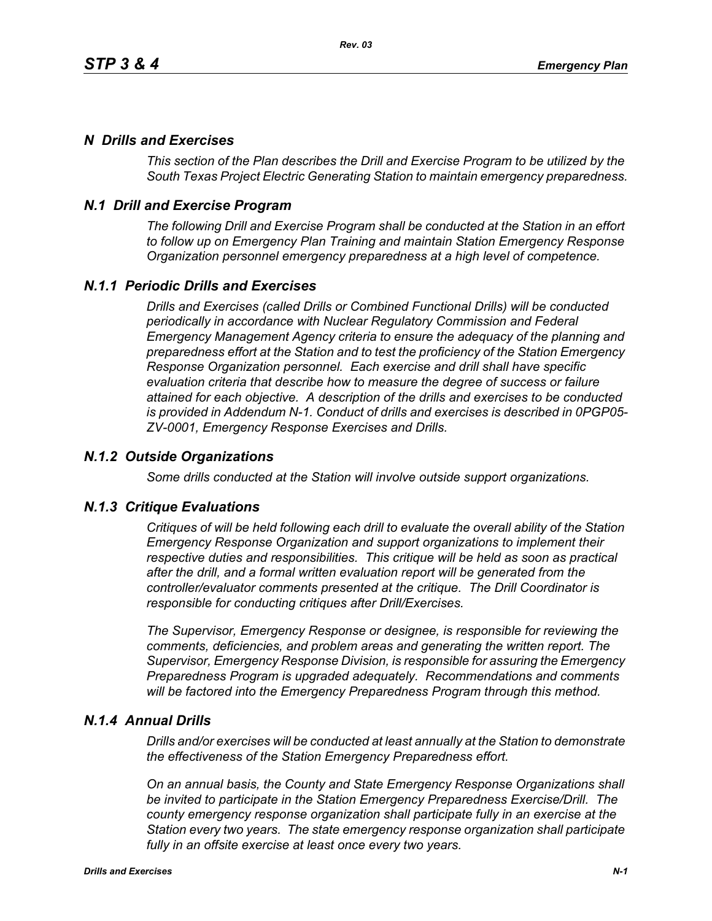# *N Drills and Exercises*

*This section of the Plan describes the Drill and Exercise Program to be utilized by the South Texas Project Electric Generating Station to maintain emergency preparedness.*

# *N.1 Drill and Exercise Program*

*The following Drill and Exercise Program shall be conducted at the Station in an effort to follow up on Emergency Plan Training and maintain Station Emergency Response Organization personnel emergency preparedness at a high level of competence.*

# *N.1.1 Periodic Drills and Exercises*

*Drills and Exercises (called Drills or Combined Functional Drills) will be conducted periodically in accordance with Nuclear Regulatory Commission and Federal Emergency Management Agency criteria to ensure the adequacy of the planning and preparedness effort at the Station and to test the proficiency of the Station Emergency Response Organization personnel. Each exercise and drill shall have specific evaluation criteria that describe how to measure the degree of success or failure attained for each objective. A description of the drills and exercises to be conducted is provided in Addendum N-1. Conduct of drills and exercises is described in 0PGP05- ZV-0001, Emergency Response Exercises and Drills.*

## *N.1.2 Outside Organizations*

*Some drills conducted at the Station will involve outside support organizations.* 

### *N.1.3 Critique Evaluations*

*Critiques of will be held following each drill to evaluate the overall ability of the Station Emergency Response Organization and support organizations to implement their respective duties and responsibilities. This critique will be held as soon as practical after the drill, and a formal written evaluation report will be generated from the controller/evaluator comments presented at the critique. The Drill Coordinator is responsible for conducting critiques after Drill/Exercises.* 

*The Supervisor, Emergency Response or designee, is responsible for reviewing the comments, deficiencies, and problem areas and generating the written report. The Supervisor, Emergency Response Division, is responsible for assuring the Emergency Preparedness Program is upgraded adequately. Recommendations and comments will be factored into the Emergency Preparedness Program through this method.* 

### *N.1.4 Annual Drills*

*Drills and/or exercises will be conducted at least annually at the Station to demonstrate the effectiveness of the Station Emergency Preparedness effort.* 

*On an annual basis, the County and State Emergency Response Organizations shall be invited to participate in the Station Emergency Preparedness Exercise/Drill. The county emergency response organization shall participate fully in an exercise at the Station every two years. The state emergency response organization shall participate fully in an offsite exercise at least once every two years.*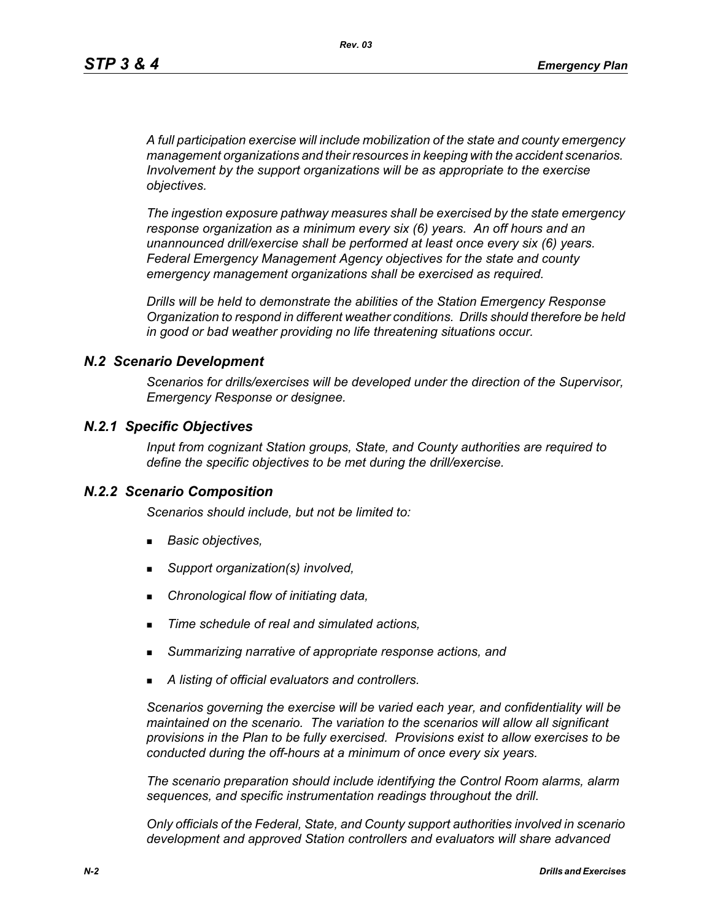*A full participation exercise will include mobilization of the state and county emergency management organizations and their resources in keeping with the accident scenarios. Involvement by the support organizations will be as appropriate to the exercise objectives.* 

*The ingestion exposure pathway measures shall be exercised by the state emergency response organization as a minimum every six (6) years. An off hours and an unannounced drill/exercise shall be performed at least once every six (6) years. Federal Emergency Management Agency objectives for the state and county emergency management organizations shall be exercised as required.*

*Drills will be held to demonstrate the abilities of the Station Emergency Response Organization to respond in different weather conditions. Drills should therefore be held in good or bad weather providing no life threatening situations occur.*

### *N.2 Scenario Development*

*Scenarios for drills/exercises will be developed under the direction of the Supervisor, Emergency Response or designee.* 

### *N.2.1 Specific Objectives*

*Input from cognizant Station groups, State, and County authorities are required to define the specific objectives to be met during the drill/exercise.*

#### *N.2.2 Scenario Composition*

*Scenarios should include, but not be limited to:*

- *Basic objectives,*
- *Support organization(s) involved,*
- *Chronological flow of initiating data,*
- *Time schedule of real and simulated actions,*
- *Summarizing narrative of appropriate response actions, and*
- *A listing of official evaluators and controllers.*

*Scenarios governing the exercise will be varied each year, and confidentiality will be maintained on the scenario. The variation to the scenarios will allow all significant provisions in the Plan to be fully exercised. Provisions exist to allow exercises to be conducted during the off-hours at a minimum of once every six years.*

*The scenario preparation should include identifying the Control Room alarms, alarm sequences, and specific instrumentation readings throughout the drill.*

*Only officials of the Federal, State, and County support authorities involved in scenario development and approved Station controllers and evaluators will share advanced*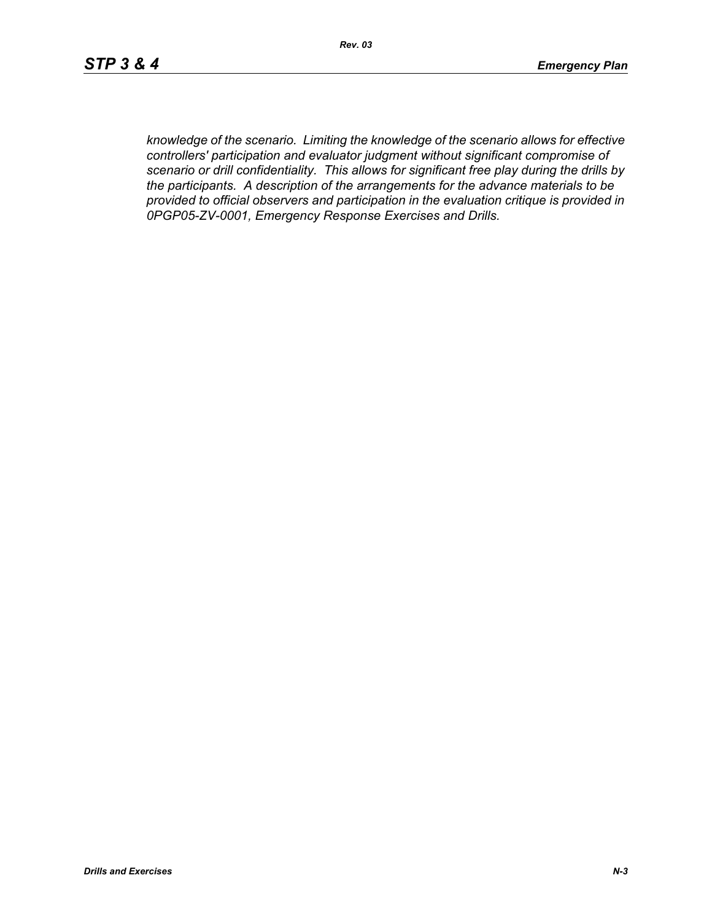*knowledge of the scenario. Limiting the knowledge of the scenario allows for effective controllers' participation and evaluator judgment without significant compromise of scenario or drill confidentiality. This allows for significant free play during the drills by the participants. A description of the arrangements for the advance materials to be provided to official observers and participation in the evaluation critique is provided in 0PGP05-ZV-0001, Emergency Response Exercises and Drills.*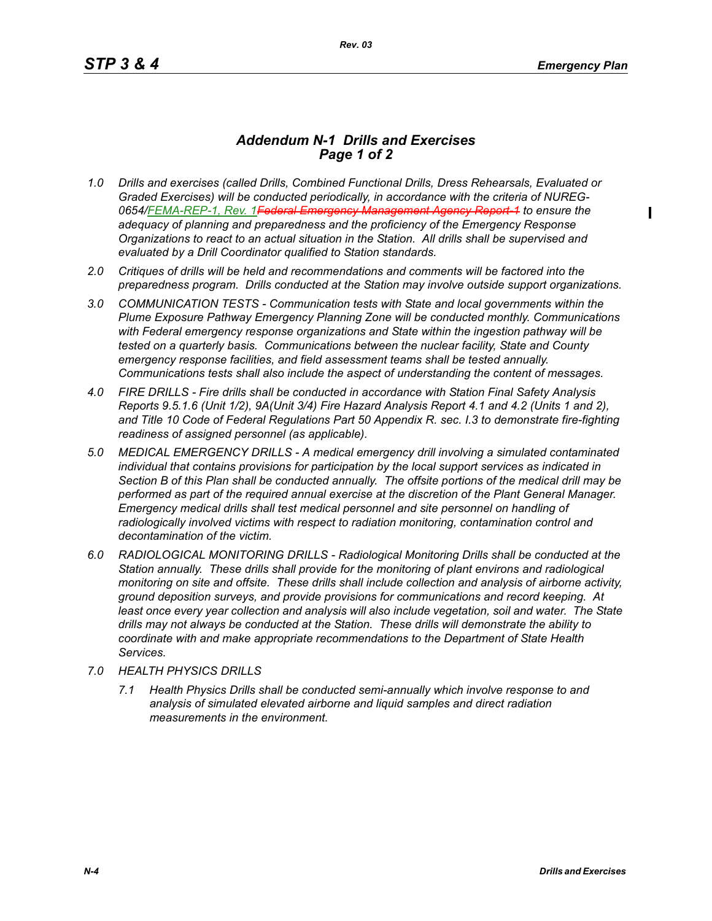## *Addendum N-1 Drills and Exercises Page 1 of 2*

- *1.0 Drills and exercises (called Drills, Combined Functional Drills, Dress Rehearsals, Evaluated or Graded Exercises) will be conducted periodically, in accordance with the criteria of NUREG-0654/FEMA-REP-1, Rev. 1Federal Emergency Management Agency Report-1 to ensure the adequacy of planning and preparedness and the proficiency of the Emergency Response Organizations to react to an actual situation in the Station. All drills shall be supervised and evaluated by a Drill Coordinator qualified to Station standards.*
- *2.0 Critiques of drills will be held and recommendations and comments will be factored into the preparedness program. Drills conducted at the Station may involve outside support organizations.*
- *3.0 COMMUNICATION TESTS Communication tests with State and local governments within the Plume Exposure Pathway Emergency Planning Zone will be conducted monthly. Communications with Federal emergency response organizations and State within the ingestion pathway will be tested on a quarterly basis. Communications between the nuclear facility, State and County emergency response facilities, and field assessment teams shall be tested annually. Communications tests shall also include the aspect of understanding the content of messages.*
- *4.0 FIRE DRILLS Fire drills shall be conducted in accordance with Station Final Safety Analysis Reports 9.5.1.6 (Unit 1/2), 9A(Unit 3/4) Fire Hazard Analysis Report 4.1 and 4.2 (Units 1 and 2), and Title 10 Code of Federal Regulations Part 50 Appendix R. sec. I.3 to demonstrate fire-fighting readiness of assigned personnel (as applicable).*
- *5.0 MEDICAL EMERGENCY DRILLS A medical emergency drill involving a simulated contaminated individual that contains provisions for participation by the local support services as indicated in Section B of this Plan shall be conducted annually. The offsite portions of the medical drill may be performed as part of the required annual exercise at the discretion of the Plant General Manager. Emergency medical drills shall test medical personnel and site personnel on handling of*  radiologically involved victims with respect to radiation monitoring, contamination control and *decontamination of the victim.*
- *6.0 RADIOLOGICAL MONITORING DRILLS Radiological Monitoring Drills shall be conducted at the Station annually. These drills shall provide for the monitoring of plant environs and radiological monitoring on site and offsite. These drills shall include collection and analysis of airborne activity, ground deposition surveys, and provide provisions for communications and record keeping. At*  least once every year collection and analysis will also include vegetation, soil and water. The State *drills may not always be conducted at the Station. These drills will demonstrate the ability to coordinate with and make appropriate recommendations to the Department of State Health Services.*
- *7.0 HEALTH PHYSICS DRILLS*
	- *7.1 Health Physics Drills shall be conducted semi-annually which involve response to and analysis of simulated elevated airborne and liquid samples and direct radiation measurements in the environment.*